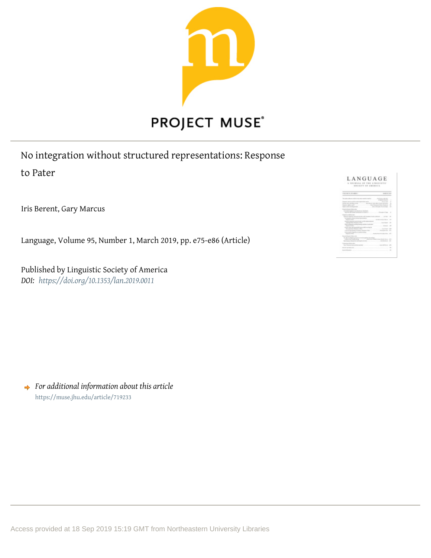

No integration without structured representations: Response to Pater

Iris Berent, Gary Marcus

Language, Volume 95, Number 1, March 2019, pp. e75-e86 (Article)

Published by Linguistic Society of America *DOI: <https://doi.org/10.1353/lan.2019.0011>*



*For additional information about this article* <https://muse.jhu.edu/article/719233>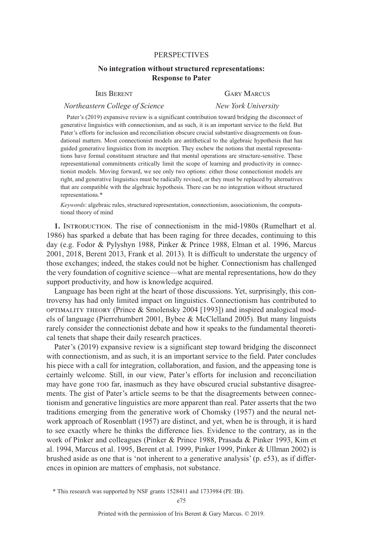## PERSPECTIVES

# **No integration without structured representations: Response to Pater**

# *Northeastern College of Science New York University*

# IRIS BERENT GARY MARCUS

Pater's (2019) expansive review is a significant contribution toward bridging the disconnect of generative linguistics with connectionism, and as such, it is an important service to the field. But Pater's efforts for inclusion and reconciliation obscure crucial substantive disagreements on foundational matters. Most connectionist models are antithetical to the algebraic hypothesis that has guided generative linguistics from its inception. They eschew the notions that mental representations have formal constituent structure and that mental operations are structure-sensitive. These representational commitments critically limit the scope of learning and productivity in connectionist models. Moving forward, we see only two options: either those connectionist models are right, and generative linguistics must be radically revised, or they must be replaced by alternatives that are compatible with the algebraic hypothesis. There can be no integration without structured representations.\*

*Keywords*: algebraic rules, structured representation, connectionism, associationism, the computational theory of mind

**1.** INTRODUCTION. The rise of connectionism in the mid-1980s (Rumelhart et al. 1986) has sparked a debate that has been raging for three decades, continuing to this day (e.g. Fodor & Pylyshyn 1988, Pinker & Prince 1988, Elman et al. 1996, Marcus 2001, 2018, Berent 2013, Frank et al. 2013). It is difficult to understate the urgency of those exchanges; indeed, the stakes could not be higher. Connectionism has challenged the very foundation of cognitive science—what are mental representations, how do they support productivity, and how is knowledge acquired.

Language has been right at the heart of those discussions. Yet, surprisingly, this controversy has had only limited impact on linguistics. Connectionism has contributed to optimality theory (Prince & Smolensky 2004 [1993]) and inspired analogical models of language (Pierrehumbert 2001, Bybee & McClelland 2005). But many linguists rarely consider the connectionist debate and how it speaks to the fundamental theoretical tenets that shape their daily research practices.

Pater's (2019) expansive review is a significant step toward bridging the disconnect with connectionism, and as such, it is an important service to the field. Pater concludes his piece with a call for integration, collaboration, and fusion, and the appeasing tone is certainly welcome. Still, in our view, Pater's efforts for inclusion and reconciliation may have gone too far, inasmuch as they have obscured crucial substantive disagreements. The gist of Pater's article seems to be that the disagreements between connectionism and generative linguistics are more apparent than real. Pater asserts that the two traditions emerging from the generative work of Chomsky (1957) and the neural network approach of Rosenblatt (1957) are distinct, and yet, when he is through, it is hard to see exactly where he thinks the difference lies. Evidence to the contrary, as in the work of Pinker and colleagues (Pinker & Prince 1988, Prasada & Pinker 1993, Kim et al. 1994, Marcus et al. 1995, Berent et al. 1999, Pinker 1999, Pinker & Ullman 2002) is brushed aside as one that is 'not inherent to a generative analysis' (p. e53), as if differences in opinion are matters of emphasis, not substance.

Printed with the permission of Iris Berent & Gary Marcus. © 2019.

<sup>\*</sup> This research was supported by NSF grants 1528411 and 1733984 (PI: IB).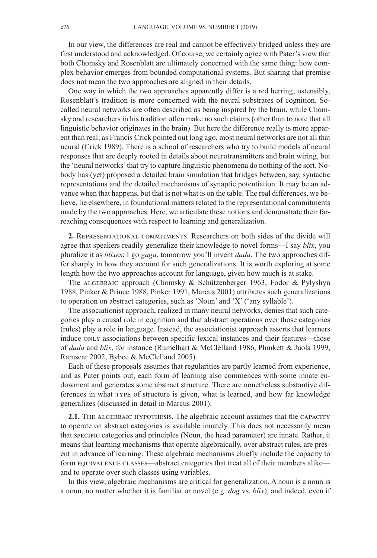In our view, the differences are real and cannot be effectively bridged unless they are first understood and acknowledged. Of course, we certainly agree with Pater's view that both Chomsky and Rosenblatt are ultimately concerned with the same thing: how complex behavior emerges from bounded computational systems. But sharing that premise does not mean the two approaches are aligned in their details.

One way in which the two approaches apparently differ is a red herring; ostensibly, Rosenblatt's tradition is more concerned with the neural substrates of cognition. Socalled neural networks are often described as being inspired by the brain, while Chomsky and researchers in his tradition often make no such claims (other than to note that all linguistic behavior originates in the brain). But here the difference really is more apparent than real; as Francis Crick pointed out long ago, most neural networks are not all that neural (Crick 1989). There is a school of researchers who try to build models of neural responses that are deeply rooted in details about neurotransmitters and brain wiring, but the 'neural networks'that try to capture linguistic phenomena do nothing of the sort. Nobody has (yet) proposed a detailed brain simulation that bridges between, say, syntactic representations and the detailed mechanisms of synaptic potentiation. It may be an advance when that happens, but that is not what is on the table. The real differences, we believe, lie elsewhere, in foundational matters related to the representational commitments made by the two approaches. Here, we articulate these notions and demonstrate their farreaching consequences with respect to learning and generalization.

**2.** Representational commitments. Researchers on both sides of the divide will agree that speakers readily generalize their knowledge to novel forms—I say *blix*, you pluralize it as *blixes*; I go *gaga*, tomorrow you'll invent *dada*. The two approaches differ sharply in how they account for such generalizations. It is worth exploring at some length how the two approaches account for language, given how much is at stake.

The ALGEBRAIC approach (Chomsky & Schützenberger 1963, Fodor & Pylyshyn 1988, Pinker & Prince 1988, Pinker 1991, Marcus 2001) attributes such generalizations to operation on abstract categories, such as 'Noun' and 'X' ('any syllable').

The associationist approach, realized in many neural networks, denies that such categories play a causal role in cognition and that abstract operations over those categories (rules) play a role in language. Instead, the associationist approach asserts that learners induce only associations between specific lexical instances and their features—those of *dada* and *blix*, for instance (Rumelhart & McClelland 1986, Plunkett & Juola 1999, Ramscar 2002, Bybee & McClelland 2005).

Each of these proposals assumes that regularities are partly learned from experience, and as Pater points out, each form of learning also commences with some innate endowment and generates some abstract structure. There are nonetheless substantive differences in what type of structure is given, what is learned, and how far knowledge generalizes (discussed in detail in Marcus 2001).

**2.1.** THE ALGEBRAIC HYPOTHESIS. The algebraic account assumes that the CAPACITY to operate on abstract categories is available innately. This does not necessarily mean that specific categories and principles (Noun, the head parameter) are innate. Rather, it means that learning mechanisms that operate algebraically, over abstract rules, are present in advance of learning. These algebraic mechanisms chiefly include the capacity to form equivalence classes—abstract categories that treat all of their members alike and to operate over such classes using variables.

In this view, algebraic mechanisms are critical for generalization. A noun is a noun is a noun, no matter whether it is familiar or novel (e.g. *dog* vs. *blix*), and indeed, even if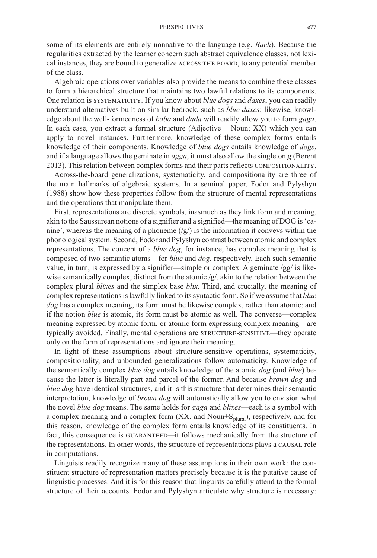some of its elements are entirely nonnative to the language (e.g. *Bach*). Because the regularities extracted by the learner concern such abstract equivalence classes, not lexical instances, they are bound to generalize across the board, to any potential member of the class.

Algebraic operations over variables also provide the means to combine these classes to form a hierarchical structure that maintains two lawful relations to its components. One relation is systematicity. If you know about *blue dogs* and *daxes*, you can readily understand alternatives built on similar bedrock, such as *blue daxes*; likewise, knowledge about the well-formedness of *baba* and *dada* will readily allow you to form *gaga*. In each case, you extract a formal structure  $(Adjective + Noun; XX)$  which you can apply to novel instances. Furthermore, knowledge of these complex forms entails knowledge of their components. Knowledge of *blue dogs* entails knowledge of *dogs*, and if a language allows the geminate in *agga*, it must also allow the singleton *g* (Berent 2013). This relation between complex forms and their parts reflects compositionality.

Across-the-board generalizations, systematicity, and compositionality are three of the main hallmarks of algebraic systems. In a seminal paper, Fodor and Pylyshyn (1988) show how these properties follow from the structure of mental representations and the operations that manipulate them.

First, representations are discrete symbols, inasmuch as they link form and meaning, akin to the Saussurean notions of a signifier and a signified—the meaning of DOG is'canine', whereas the meaning of a phoneme  $(\frac{g}{)}$  is the information it conveys within the phonological system. Second, Fodor and Pylyshyn contrast between atomic and complex representations. The concept of a *blue dog*, for instance, has complex meaning that is composed of two semantic atoms—for *blue* and *dog*, respectively. Each such semantic value, in turn, is expressed by a signifier—simple or complex. A geminate /gg/ is likewise semantically complex, distinct from the atomic  $/g/$ , akin to the relation between the complex plural *blixes* and the simplex base *blix*. Third, and crucially, the meaning of complex representations is lawfully linked to its syntactic form. So if we assume that *blue dog* has a complex meaning, its form must be likewise complex, rather than atomic; and if the notion *blue* is atomic, its form must be atomic as well. The converse—complex meaning expressed by atomic form, or atomic form expressing complex meaning—are typically avoided. Finally, mental operations are STRUCTURE-SENSITIVE—they operate only on the form of representations and ignore their meaning.

In light of these assumptions about structure-sensitive operations, systematicity, compositionality, and unbounded generalizations follow automaticity. Knowledge of the semantically complex *blue dog* entails knowledge of the atomic *dog* (and *blue*) because the latter is literally part and parcel of the former. And because *brown dog* and *blue dog* have identical structures, and it is this structure that determines their semantic interpretation, knowledge of *brown dog* will automatically allow you to envision what the novel *blue dog* means. The same holds for *gaga* and *blixes*—each is a symbol with a complex meaning and a complex form (XX, and Noun+S<sub>plural</sub>), respectively, and for this reason, knowledge of the complex form entails knowledge of its constituents. In fact, this consequence is GUARANTEED—it follows mechanically from the structure of the representations. In other words, the structure of representations plays a CAUSAL role in computations.

Linguists readily recognize many of these assumptions in their own work: the constituent structure of representation matters precisely because it is the putative cause of linguistic processes. And it is for this reason that linguists carefully attend to the formal structure of their accounts. Fodor and Pylyshyn articulate why structure is necessary: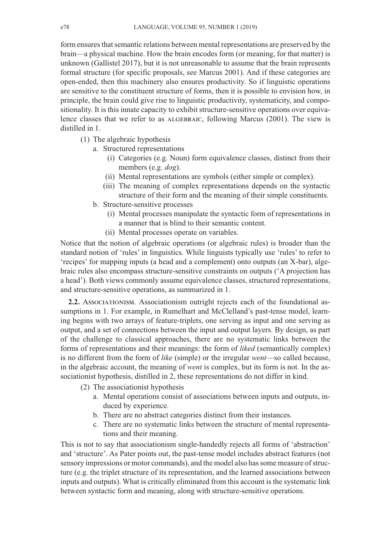form ensures that semantic relations between mental representations are preserved by the brain—a physical machine. How the brain encodes form (or meaning, for that matter) is unknown (Gallistel 2017), but it is not unreasonable to assume that the brain represents formal structure (for specific proposals, see Marcus 2001). And if these categories are open-ended, then this machinery also ensures productivity. So if linguistic operations are sensitive to the constituent structure of forms, then it is possible to envision how, in principle, the brain could give rise to linguistic productivity, systematicity, and compositionality. It is this innate capacity to exhibit structure-sensitive operations over equivalence classes that we refer to as ALGEBRAIC, following Marcus (2001). The view is distilled in 1.

- (1) The algebraic hypothesis
	- a. Structured representations
		- (i) Categories (e.g. Noun) form equivalence classes, distinct from their members (e.g. *dog*).
		- i(ii) Mental representations are symbols (either simple or complex).
		- (iii) The meaning of complex representations depends on the syntactic structure of their form and the meaning of their simple constituents.
	- b. Structure-sensitive processes
		- (i) Mental processes manipulate the syntactic form of representations in a manner that is blind to their semantic content.
		- i(ii) Mental processes operate on variables.

Notice that the notion of algebraic operations (or algebraic rules) is broader than the standard notion of 'rules' in linguistics. While linguists typically use 'rules' to refer to 'recipes' for mapping inputs (a head and a complement) onto outputs (an X-bar), algebraic rules also encompass structure-sensitive constraints on outputs ('A projection has a head'). Both views commonly assume equivalence classes, structured representations, and structure-sensitive operations, as summarized in 1.

**2.2.** Associationism. Associationism outright rejects each of the foundational assumptions in 1. For example, in Rumelhart and McClelland's past-tense model, learning begins with two arrays of feature-triplets, one serving as input and one serving as output, and a set of connections between the input and output layers. By design, as part of the challenge to classical approaches, there are no systematic links between the forms of representations and their meanings: the form of *liked* (semantically complex) is no different from the form of *like* (simple) or the irregular *went*—so called because, in the algebraic account, the meaning of *went* is complex, but its form is not. In the associationist hypothesis, distilled in 2, these representations do not differ in kind.

- (2) The associationist hypothesis
	- a. Mental operations consist of associations between inputs and outputs, induced by experience.
	- b. There are no abstract categories distinct from their instances.
	- c. There are no systematic links between the structure of mental representations and their meaning.

This is not to say that associationism single-handedly rejects all forms of 'abstraction' and 'structure'. As Pater points out, the past-tense model includes abstract features (not sensory impressions or motor commands), and the model also has some measure of structure (e.g. the triplet structure of its representation, and the learned associations between inputs and outputs). What is critically eliminated from this account is the systematic link between syntactic form and meaning, along with structure-sensitive operations.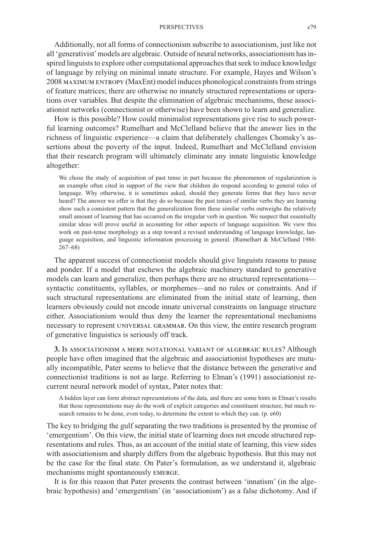### PERSPECTIVES e79

Additionally, not all forms of connectionism subscribe to associationism, just like not all'generativist'models are algebraic. Outside of neural networks, associationism hasinspired linguists to explore other computational approaches that seek to induce knowledge of language by relying on minimal innate structure. For example, Hayes and Wilson's 2008 maximum entropy (MaxEnt) model induces phonological constraintsfrom strings of feature matrices; there are otherwise no innately structured representations or operations over variables. But despite the elimination of algebraic mechanisms, these associationist networks (connectionist or otherwise) have been shown to learn and generalize.

How is this possible? How could minimalist representations give rise to such powerful learning outcomes? Rumelhart and McClelland believe that the answer lies in the richness of linguistic experience—a claim that deliberately challenges Chomsky's assertions about the poverty of the input. Indeed, Rumelhart and McClelland envision that their research program will ultimately eliminate any innate linguistic knowledge altogether:

We chose the study of acquisition of past tense in part because the phenomenon of regularization is an example often cited in support of the view that children do respond according to general rules of language. Why otherwise, it is sometimes asked, should they generate forms that they have never heard? The answer we offer is that they do so because the past tenses of similar verbs they are learning show such a consistent pattern that the generalization from these similar verbs outweighs the relatively small amount of learning that has occurred on the irregular verb in question. We suspect that essentially similar ideas will prove useful in accounting for other aspects of language acquisition. We view this work on past-tense morphology as a step toward a revised understanding of language knowledge, language acquisition, and linguistic information processing in general. (Rumelhart & McClelland 1986: 267–68)

The apparent success of connectionist models should give linguists reasons to pause and ponder. If a model that eschews the algebraic machinery standard to generative models can learn and generalize, then perhaps there are no structured representations syntactic constituents, syllables, or morphemes—and no rules or constraints. And if such structural representations are eliminated from the initial state of learning, then learners obviously could not encode innate universal constraints on language structure either. Associationism would thus deny the learner the representational mechanisms necessary to represent universal grammar. On this view, the entire research program of generative linguistics is seriously off track.

**3.** Is associationism a mere notational variant of algebraic rules? Although people have often imagined that the algebraic and associationist hypotheses are mutually incompatible, Pater seems to believe that the distance between the generative and connectionist traditions is not as large. Referring to Elman's (1991) associationist recurrent neural network model of syntax, Pater notes that:

A hidden layer can form abstract representations of the data, and there are some hints in Elman's results that those representations may do the work of explicit categories and constituent structure, but much research remains to be done, even today, to determine the extent to which they can. (p. e60)

The key to bridging the gulf separating the two traditions is presented by the promise of 'emergentism'. On this view, the initial state of learning does not encode structured representations and rules. Thus, as an account of the initial state of learning, this view sides with associationism and sharply differs from the algebraic hypothesis. But this may not be the case for the final state. On Pater's formulation, as we understand it, algebraic mechanisms might spontaneously emerge.

It is for this reason that Pater presents the contrast between 'innatism' (in the algebraic hypothesis) and 'emergentism' (in 'associationism') as a false dichotomy. And if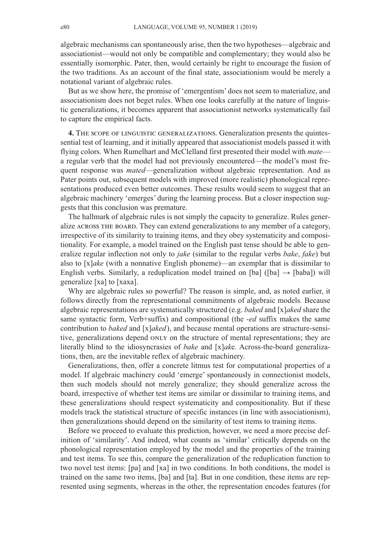algebraic mechanisms can spontaneously arise, then the two hypotheses—algebraic and associationist—would not only be compatible and complementary; they would also be essentially isomorphic. Pater, then, would certainly be right to encourage the fusion of the two traditions. As an account of the final state, associationism would be merely a notational variant of algebraic rules.

But as we show here, the promise of 'emergentism' does not seem to materialize, and associationism does not beget rules. When one looks carefully at the nature of linguistic generalizations, it becomes apparent that associationist networks systematically fail to capture the empirical facts.

**4.** The scope of linguistic generalizations. Generalization presents the quintessential test of learning, and it initially appeared that associationist models passed it with flying colors. When Rumelhart and McClelland first presented their model with *mate* a regular verb that the model had not previously encountered—the model's most frequent response was *mated*—generalization without algebraic representation. And as Pater points out, subsequent models with improved (more realistic) phonological representations produced even better outcomes. These results would seem to suggest that an algebraic machinery 'emerges' during the learning process. But a closer inspection suggests that this conclusion was premature.

The hallmark of algebraic rules is not simply the capacity to generalize. Rules generalize across the board. They can extend generalizations to any member of a category, irrespective of its similarity to training items, and they obey systematicity and compositionality. For example, a model trained on the English past tense should be able to generalize regular inflection not only to *jake* (similar to the regular verbs *bake*, *fake*) but also to [x]*ake* (with a nonnative English phoneme)—an exemplar that is dissimilar to English verbs. Similarly, a reduplication model trained on [ba] ([ba]  $\rightarrow$  [baba]) will generalize [xa] to [xaxa].

Why are algebraic rules so powerful? The reason is simple, and, as noted earlier, it follows directly from the representational commitments of algebraic models. Because algebraic representations are systematically structured (e.g. *baked* and [x]*aked* share the same syntactic form, Verb+suffix) and compositional (the *-ed* suffix makes the same contribution to *baked* and [x]*aked*), and because mental operations are structure-sensitive, generalizations depend ONLY on the structure of mental representations; they are literally blind to the idiosyncrasies of *bake* and [x]*ak*e. Across-the-board generalizations, then, are the inevitable reflex of algebraic machinery.

Generalizations, then, offer a concrete litmus test for computational properties of a model. If algebraic machinery could 'emerge' spontaneously in connectionist models, then such models should not merely generalize; they should generalize across the board, irrespective of whether test items are similar or dissimilar to training items, and these generalizations should respect systematicity and compositionality. But if these models track the statistical structure of specific instances (in line with associationism), then generalizations should depend on the similarity of test items to training items.

Before we proceed to evaluate this prediction, however, we need a more precise definition of 'similarity'. And indeed, what counts as 'similar' critically depends on the phonological representation employed by the model and the properties of the training and test items. To see this, compare the generalization of the reduplication function to two novel test items: [pa] and [xa] in two conditions. In both conditions, the model is trained on the same two items, [ba] and [ta]. But in one condition, these items are represented using segments, whereas in the other, the representation encodes features (for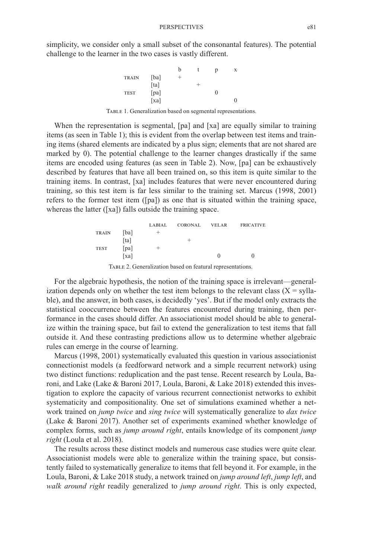simplicity, we consider only a small subset of the consonantal features). The potential challenge to the learner in the two cases is vastly different.



TABLE 1. Generalization based on segmental representations.

When the representation is segmental, [pa] and [xa] are equally similar to training items (as seen in Table 1); this is evident from the overlap between test items and training items (shared elements are indicated by a plus sign; elements that are not shared are marked by 0). The potential challenge to the learner changes drastically if the same items are encoded using features (as seen in Table 2). Now, [pa] can be exhaustively described by features that have all been trained on, so this item is quite similar to the training items. In contrast, [xa] includes features that were never encountered during training, so this test item is far less similar to the training set. Marcus (1998, 2001) refers to the former test item ([pa]) as one that is situated within the training space, whereas the latter ([xa]) falls outside the training space.

|                      | LABIAL | <b>CORONAL</b> | <b>VELAR</b> | <b>FRICATIVE</b> |
|----------------------|--------|----------------|--------------|------------------|
| [ba]<br><b>TRAIN</b> | $\pm$  |                |              |                  |
| [ta]                 |        | -              |              |                  |
| [pa]<br><b>TEST</b>  | $^+$   |                |              |                  |
| [xa]                 |        |                | $\Omega$     | 0                |

TABLE 2. Generalization based on featural representations.

For the algebraic hypothesis, the notion of the training space is irrelevant—generalization depends only on whether the test item belongs to the relevant class  $(X = \text{sylla-}$ ble), and the answer, in both cases, is decidedly 'yes'. But if the model only extracts the statistical cooccurrence between the features encountered during training, then performance in the cases should differ. An associationist model should be able to generalize within the training space, but fail to extend the generalization to test items that fall outside it. And these contrasting predictions allow us to determine whether algebraic rules can emerge in the course of learning.

Marcus (1998, 2001) systematically evaluated this question in various associationist connectionist models (a feedforward network and a simple recurrent network) using two distinct functions: reduplication and the past tense. Recent research by Loula, Baroni, and Lake (Lake & Baroni 2017, Loula, Baroni, & Lake 2018) extended this investigation to explore the capacity of various recurrent connectionist networks to exhibit systematicity and compositionality. One set of simulations examined whether a network trained on *jump twice* and *sing twice* will systematically generalize to *dax twice* (Lake & Baroni 2017). Another set of experiments examined whether knowledge of complex forms, such as *jump around right*, entails knowledge of its component *jump right* (Loula et al. 2018).

The results across these distinct models and numerous case studies were quite clear. Associationist models were able to generalize within the training space, but consistently failed to systematically generalize to items that fell beyond it. For example, in the Loula, Baroni, & Lake 2018 study, a network trained on *jump around left*, *jump left*, and *walk around right* readily generalized to *jump around right*. This is only expected,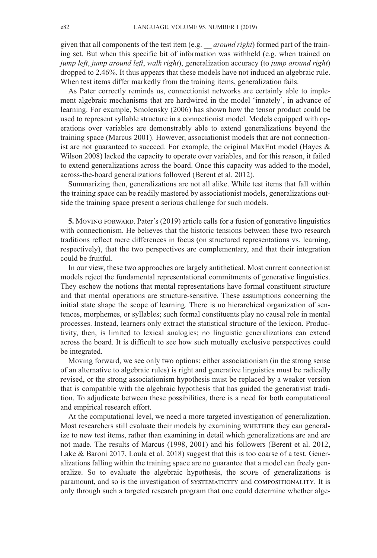given that all components of the test item (e.g. \_\_ *around right*) formed part of the training set. But when this specific bit of information was withheld (e.g. when trained on *jump left*, *jump around left*, *walk right*), generalization accuracy (to *jump around right*) dropped to 2.46%. It thus appears that these models have not induced an algebraic rule. When test items differ markedly from the training items, generalization fails.

As Pater correctly reminds us, connectionist networks are certainly able to implement algebraic mechanisms that are hardwired in the model 'innately', in advance of learning. For example, Smolensky (2006) has shown how the tensor product could be used to represent syllable structure in a connectionist model. Models equipped with operations over variables are demonstrably able to extend generalizations beyond the training space (Marcus 2001). However, associationist models that are not connectionist are not guaranteed to succeed. For example, the original MaxEnt model (Hayes  $\&$ Wilson 2008) lacked the capacity to operate over variables, and for this reason, it failed to extend generalizations across the board. Once this capacity was added to the model, across-the-board generalizations followed (Berent et al. 2012).

Summarizing then, generalizations are not all alike. While test items that fall within the training space can be readily mastered by associationist models, generalizations outside the training space present a serious challenge for such models.

**5.** Moving FORWARD. Pater's (2019) article calls for a fusion of generative linguistics with connectionism. He believes that the historic tensions between these two research traditions reflect mere differences in focus (on structured representations vs. learning, respectively), that the two perspectives are complementary, and that their integration could be fruitful.

In our view, these two approaches are largely antithetical. Most current connectionist models reject the fundamental representational commitments of generative linguistics. They eschew the notions that mental representations have formal constituent structure and that mental operations are structure-sensitive. These assumptions concerning the initial state shape the scope of learning. There is no hierarchical organization of sentences, morphemes, or syllables; such formal constituents play no causal role in mental processes. Instead, learners only extract the statistical structure of the lexicon. Productivity, then, is limited to lexical analogies; no linguistic generalizations can extend across the board. It is difficult to see how such mutually exclusive perspectives could be integrated.

Moving forward, we see only two options: either associationism (in the strong sense of an alternative to algebraic rules) is right and generative linguistics must be radically revised, or the strong associationism hypothesis must be replaced by a weaker version that is compatible with the algebraic hypothesis that has guided the generativist tradition. To adjudicate between these possibilities, there is a need for both computational and empirical research effort.

At the computational level, we need a more targeted investigation of generalization. Most researchers still evaluate their models by examining WHETHER they can generalize to new test items, rather than examining in detail which generalizations are and are not made. The results of Marcus (1998, 2001) and his followers (Berent et al. 2012, Lake & Baroni 2017, Loula et al. 2018) suggest that this is too coarse of a test. Generalizations falling within the training space are no guarantee that a model can freely generalize. So to evaluate the algebraic hypothesis, the scope of generalizations is paramount, and so is the investigation of systematicity and compositionality. It is only through such a targeted research program that one could determine whether alge-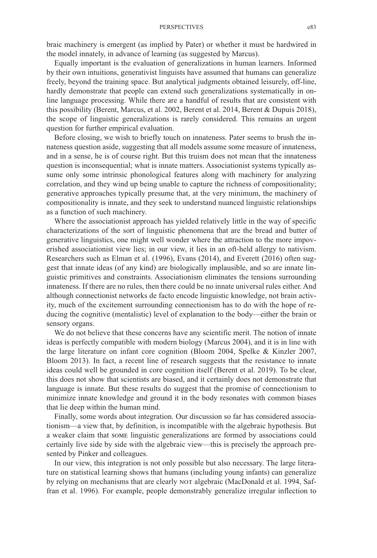### PERSPECTIVES e83

braic machinery is emergent (as implied by Pater) or whether it must be hardwired in the model innately, in advance of learning (as suggested by Marcus).

Equally important is the evaluation of generalizations in human learners. Informed by their own intuitions, generativist linguists have assumed that humans can generalize freely, beyond the training space. But analytical judgments obtained leisurely, off-line, hardly demonstrate that people can extend such generalizations systematically in online language processing. While there are a handful of results that are consistent with this possibility (Berent, Marcus, et al. 2002, Berent et al. 2014, Berent & Dupuis 2018), the scope of linguistic generalizations is rarely considered. This remains an urgent question for further empirical evaluation.

Before closing, we wish to briefly touch on innateness. Pater seems to brush the innateness question aside, suggesting that all models assume some measure of innateness, and in a sense, he is of course right. But this truism does not mean that the innateness question is inconsequential; what is innate matters. Associationist systems typically assume only some intrinsic phonological features along with machinery for analyzing correlation, and they wind up being unable to capture the richness of compositionality; generative approaches typically presume that, at the very minimum, the machinery of compositionality is innate, and they seek to understand nuanced linguistic relationships as a function of such machinery.

Where the associationist approach has yielded relatively little in the way of specific characterizations of the sort of linguistic phenomena that are the bread and butter of generative linguistics, one might well wonder where the attraction to the more impoverished associationist view lies; in our view, it lies in an oft-held allergy to nativism. Researchers such as Elman et al. (1996), Evans (2014), and Everett (2016) often suggest that innate ideas (of any kind) are biologically implausible, and so are innate linguistic primitives and constraints. Associationism eliminates the tensions surrounding innateness. If there are no rules, then there could be no innate universal rules either. And although connectionist networks de facto encode linguistic knowledge, not brain activity, much of the excitement surrounding connectionism has to do with the hope of reducing the cognitive (mentalistic) level of explanation to the body—either the brain or sensory organs.

We do not believe that these concerns have any scientific merit. The notion of innate ideas is perfectly compatible with modern biology (Marcus 2004), and it is in line with the large literature on infant core cognition (Bloom 2004, Spelke & Kinzler 2007, Bloom 2013). In fact, a recent line of research suggests that the resistance to innate ideas could well be grounded in core cognition itself (Berent et al. 2019). To be clear, this does not show that scientists are biased, and it certainly does not demonstrate that language is innate. But these results do suggest that the promise of connectionism to minimize innate knowledge and ground it in the body resonates with common biases that lie deep within the human mind.

Finally, some words about integration. Our discussion so far has considered associationism—a view that, by definition, is incompatible with the algebraic hypothesis. But a weaker claim that some linguistic generalizations are formed by associations could certainly live side by side with the algebraic view—this is precisely the approach presented by Pinker and colleagues.

In our view, this integration is not only possible but also necessary. The large literature on statistical learning shows that humans (including young infants) can generalize by relying on mechanisms that are clearly NOT algebraic (MacDonald et al. 1994, Saffran et al. 1996). For example, people demonstrably generalize irregular inflection to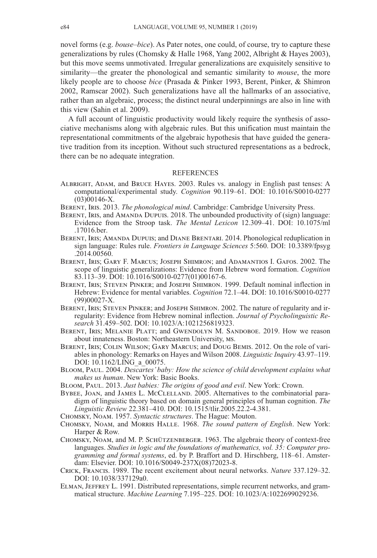novel forms (e.g. *bouse–bice*). As Pater notes, one could, of course, try to capture these generalizations by rules (Chomsky & Halle 1968, Yang 2002, Albright & Hayes 2003), but this move seems unmotivated. Irregular generalizations are exquisitely sensitive to similarity—the greater the phonological and semantic similarity to *mouse*, the more likely people are to choose *bice* (Prasada & Pinker 1993, Berent, Pinker, & Shimron 2002, Ramscar 2002). Such generalizations have all the hallmarks of an associative, rather than an algebraic, process; the distinct neural underpinnings are also in line with this view (Sahin et al. 2009).

A full account of linguistic productivity would likely require the synthesis of associative mechanisms along with algebraic rules. But this unification must maintain the representational commitments of the algebraic hypothesis that have guided the generative tradition from its inception. Without such structured representations as a bedrock, there can be no adequate integration.

# **REFERENCES**

- Albright, Adam, and Bruce Hayes. 2003. Rules vs. analogy in English past tenses: A computational/experimental study. *Cognition* 90.119–61. DOI: [10.1016/S0010-0277](http://dx.doi.org/10.1016/S0010-0277(03)00146-X) [\(03\)00146-X.](http://dx.doi.org/10.1016/S0010-0277(03)00146-X)
- Berent, Iris. 2013. *The phonological mind*. Cambridge: Cambridge University Press.
- BERENT, IRIS, and AMANDA DUPUIS. 2018. The unbounded productivity of (sign) language: Evidence from the Stroop task. *The Mental Lexicon* 12.309–41. DOI: [10.1075/ml](http://dx.doi.org/10.1075/ml.17016.ber) [.17016.ber.](http://dx.doi.org/10.1075/ml.17016.ber)
- Berent, Iris; Amanda Dupuis; and Diane Brentari. 2014. Phonological reduplication in sign language: Rules rule. *Frontiers in Language Sciences* 5:560. DOI: [10.3389/fpsyg](http://dx.doi.org/10.3389/fpsyg.2014.00560) [.2014.00560.](http://dx.doi.org/10.3389/fpsyg.2014.00560)
- Berent, Iris; Gary F. Marcus; Joseph Shimron; and Adamantios I. Gafos. 2002. The scope of linguistic generalizations: Evidence from Hebrew word formation. *Cognition* 83.113–39. DOI: [10.1016/S0010-0277\(01\)00167-6.](http://dx.doi.org/10.1016/S0010-0277(01)00167-6)
- Berent, Iris; Steven Pinker; and Joseph Shimron. 1999. Default nominal inflection in Hebrew: Evidence for mental variables. *Cognition* 72.1–44. DOI: [10.1016/S0010-0277](http://dx.doi.org/10.1016/S0010-0277(99)00027-X) [\(99\)00027-X.](http://dx.doi.org/10.1016/S0010-0277(99)00027-X)
- Berent, Iris; Steven Pinker; and Joseph Shimron. 2002. The nature of regularity and irregularity: Evidence from Hebrew nominal inflection. *Journal of Psycholinguistic Research* 31.459–502. DOI: [10.1023/A:1021256819323.](http://dx.doi.org/10.1023/A:1021256819323)
- Berent, Iris; Melanie Platt; and Gwendolyn M. Sandoboe. 2019. How we reason about innateness. Boston: Northeastern University, ms.
- Berent, Iris; Colin Wilson; Gary Marcus; and Doug Bemis. 2012. On the role of variables in phonology: Remarks on Hayes and Wilson 2008. *Linguistic Inquiry* 43.97–119. DOI: 10.1162/LING a 00075.
- Bloom, Paul. 2004. *Descartes' baby: How the science of child development explains what makes us human*. New York: Basic Books.
- Bloom, Paul. 2013. *Just babies: The origins of good and evil*. New York: Crown.
- BYBEE, JOAN, and JAMES L. MCCLELLAND. 2005. Alternatives to the combinatorial paradigm of linguistic theory based on domain general principles of human cognition. *The Linguistic Review* 22.381–410. DOI: [10.1515/tlir.2005.22.2-4.381.](http://dx.doi.org/10.1515/tlir.2005.22.2-4.381)
- Chomsky, Noam. 1957. *Syntactic structures*. The Hague: Mouton.
- Chomsky, Noam, and Morris Halle. 1968. *The sound pattern of English*. New York: Harper & Row.
- Chomsky, Noam, and M. P. Schützenberger. 1963. The algebraic theory of context-free languages. *Studies in logic and the foundations of mathematics, vol. 35: Computer programming and formal systems*, ed. by P. Braffort and D. Hirschberg, 118–61. Amsterdam: Elsevier. DOI: [10.1016/S0049-237X\(08\)72023-8.](http://dx.doi.org/10.1016/S0049-237X(08)72023-8)
- Crick, Francis. 1989. The recent excitement about neural networks. *Nature* 337.129–32. DOI: [10.1038/337129a0.](http://dx.doi.org/10.1038/337129a0)
- ELMAN, JEFFREY L. 1991. Distributed representations, simple recurrent networks, and grammatical structure. *Machine Learning* 7.195–225. DOI: [10.1023/A:1022699029236.](http://dx.doi.org/10.1023/A:1022699029236)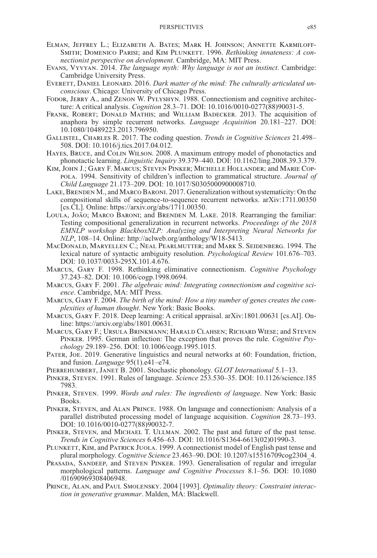- Elman, Jeffrey L.; Elizabeth A. Bates; Mark H. Johnson; Annette Karmiloff-SMITH; DOMENICO PARISI; and KIM PLUNKETT. 1996. *Rethinking innateness: A connectionist perspective on development*. Cambridge, MA: MIT Press.
- Evans, Vyvyan. 2014. *The language myth: Why language is not an instinct*. Cambridge: Cambridge University Press.
- EVERETT, DANIEL LEONARD. 2016. *Dark matter of the mind: The culturally articulated unconscious*. Chicago: University of Chicago Press.
- Fodor, Jerry A., and Zenon W. Pylyshyn. 1988. Connectionism and cognitive architecture: A critical analysis. *Cognition* 28.3–71. DOI: [10.1016/0010-0277\(88\)90031-5.](http://dx.doi.org/10.1016/0010-0277(88)90031-5)
- FRANK, ROBERT; DONALD MATHIS; and WILLIAM BADECKER. 2013. The acquisition of anaphora by simple recurrent networks. *Language Acquisition* 20.181–227. DOI: [10.1080/10489223.2013.796950.](http://dx.doi.org/10.1080/10489223.2013.796950)
- Gallistel, Charles R. 2017. The coding question. *Trends in Cognitive Sciences* 21.498– 508. DOI: [10.1016/j.tics.2017.04.012.](http://dx.doi.org/10.1016/j.tics.2017.04.012)
- Hayes, Bruce, and Colin Wilson. 2008. A maximum entropy model of phonotactics and phonotactic learning. *Linguistic Inquiry* 39.379–440. DOI: [10.1162/ling.2008.39.3.379.](http://dx.doi.org/10.1162/ling.2008.39.3.379)
- Kim, John J.; Gary F. Marcus; Steven Pinker; Michelle Hollander; and Marie Coppola. 1994. Sensitivity of children's inflection to grammatical structure. *Journal of Child Language* 21.173–209. DOI: [10.1017/S0305000900008710.](http://dx.doi.org/10.1017/S0305000900008710)
- LAKE, BRENDEN M., and MARCO BARONI. 2017. Generalization without systematicity: On the compositional skills of sequence-to-sequence recurrent networks. arXiv:1711.00350 [cs.CL]. Online: https://arxiv.org/abs/1711.00350.
- Loula, João; Marco Baroni; and Brenden M. Lake. 2018. Rearranging the familiar: Testing compositional generalization in recurrent networks. *Proceedings of the 2018 EMNLP workshop BlackboxNLP: Analyzing and Interpreting Neural Networks for NLP*, 108–14. Online: http://aclweb.org/anthology/W18-5413.
- MacDonald, Maryellen C.; Neal Pearlmutter; and Mark S. Seidenberg. 1994. The lexical nature of syntactic ambiguity resolution. *Psychological Review* 101.676–703. DOI: [10.1037/0033-295X.101.4.676.](http://dx.doi.org/10.1037/0033-295X.101.4.676)
- Marcus, Gary F. 1998. Rethinking eliminative connectionism. *Cognitive Psychology* 37.243–82. DOI: [10.1006/cogp.1998.0694.](http://dx.doi.org/10.1006/cogp.1998.0694)
- Marcus, Gary F. 2001. *The algebraic mind: Integrating connectionism and cognitive science*. Cambridge, MA: MIT Press.
- Marcus, Gary F. 2004. *The birth of the mind: How a tiny number of genes creates the complexities of human thought*. New York: Basic Books.
- Marcus, Gary F. 2018. Deep learning: A critical appraisal. arXiv:1801.00631 [cs.AI]. Online: https://arxiv.org/abs/1801.00631.
- Marcus, Gary F.; Ursula Brinkmann; Harald Clahsen; Richard Wiese; and Steven Pinker. 1995. German inflection: The exception that proves the rule. *Cognitive Psychology* 29.189–256. DOI: [10.1006/cogp.1995.1015.](http://dx.doi.org/10.1006/cogp.1995.1015)
- PATER, JOE. 2019. Generative linguistics and neural networks at 60: Foundation, friction, and fusion. *Language* 95(1).e41–e74.
- Pierrehumbert, Janet B. 2001. Stochastic phonology. *GLOT International* 5.1–13.
- Pinker, Steven. 1991. Rules of language. *Science* 253.530–35. DOI: [10.1126/science.185](http://dx.doi.org/10.1126/science.1857983) [7983.](http://dx.doi.org/10.1126/science.1857983)
- Pinker, Steven. 1999. *Words and rules: The ingredients of language*. New York: Basic Books.
- Pinker, Steven, and Alan Prince. 1988. On language and connectionism: Analysis of a parallel distributed processing model of language acquisition. *Cognition* 28.73–193. DOI: [10.1016/0010-0277\(88\)90032-7.](http://dx.doi.org/10.1016/0010-0277(88)90032-7)
- Pinker, Steven, and Michael T. Ullman. 2002. The past and future of the past tense. *Trends in Cognitive Sciences* 6.456–63. DOI: [10.1016/S1364-6613\(02\)01990-3.](http://dx.doi.org/10.1016/S1364-6613(02)01990-3)
- PLUNKETT, KIM, and PATRICK JUOLA. 1999. A connectionist model of English past tense and plural morphology. *Cognitive Science* 23.463–90. DOI: [10.1207/s15516709cog2304\\_4.](http://dx.doi.org/10.1207/s15516709cog2304_4)
- Prasada, Sandeep, and Steven Pinker. 1993. Generalisation of regular and irregular morphological patterns. *Language and Cognitive Processes* 8.1–56. DOI: [10.1080](http://dx.doi.org/10.1080/01690969308406948) [/01690969308406948.](http://dx.doi.org/10.1080/01690969308406948)
- Prince, Alan, and Paul Smolensky. 2004 [1993]. *Optimality theory: Constraint interaction in generative grammar*. Malden, MA: Blackwell.